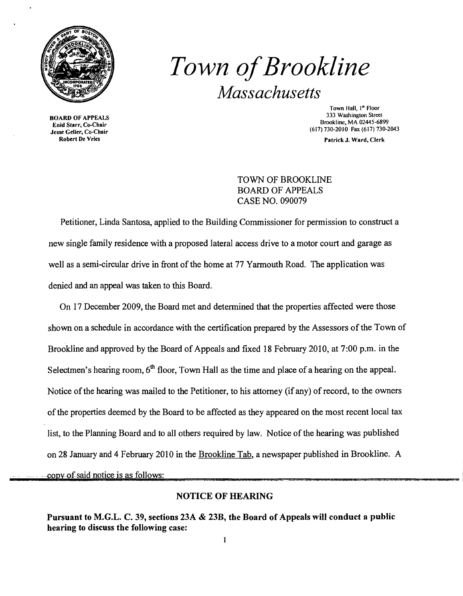

BOARD OF APPEALS Enid Starr, Co-Chair Jesse Geller, Co-Chair Robert De Vries

## *Town ofBrookline Massachusetts*

Town Hall, 1st Floor 333 Washington Street Brookline, MA 02445-6899 (617) 730-2010 Fax (617) 730-2043

Patrick J. Ward, Clerk

TOWN OF BROOKLINE BOARD OF APPEALS CASE NO. 090079

Petitioner, Linda Santosa, applied to the Building Commissioner for permission to construct a new single family residence with a proposed lateral access drive to a motor court and garage as well as a semi-circular drive in front of the home at 77 Yarmouth Road. The application was denied and an appeal was taken to this Board.

On 17 December 2009, the Board met and determined that the properties affected were those shown on a schedule in accordance with the certification prepared by the Assessors of the Town of Brookline and approved by the Board of Appeals and fixed 18 February 2010, at 7:00 p.m. in the Selectmen's hearing room,  $6<sup>th</sup>$  floor, Town Hall as the time and place of a hearing on the appeal. Notice of the hearing was mailed to the Petitioner, to his attorney (if any) of record, to the owners ofthe properties deemed by the Board to be affected as they appeared on the most recent local tax list, to the Planning Board and to all others required by law. Notice of the hearing was published on 28 January and 4 February 2010 in the Brookline Tab, a newspaper published in Brookline. A  $\frac{1}{2}$  copy of said notice is as follows:

## NOTICE OF HEARING

Pursuant to M.G.L. C. 39, sections 23A & 23B, the Board of Appeals will conduct a public hearing to discuss the following case: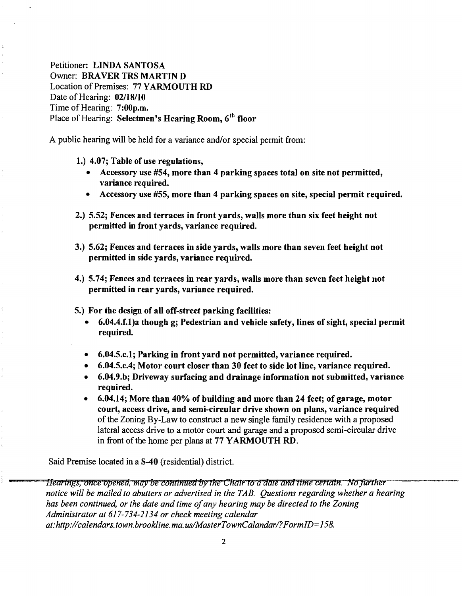Petitioner: LINDA SANTOSA Owner: BRAVER TRS MARTIN D Location of Premises: 77 YARMOUTH RD Date of Hearing: 02/18/10 Time of Hearing: 7:00p.m. Place of Hearing: Selectmen's Hearing Room, 6<sup>th</sup> floor

A public hearing will be held for a variance and/or special permit from:

- 1.) 4.07; Table of use regulations,
	- Accessory use #54, more than 4 parking spaces total on site not permitted, variance required.
	- Accessory use #55, more than 4 parking spaces on site, special permit required.
- 2.) 5.52; Fences and terraces in front yards, walls more than six feet height not permitted in front yards, variance required.
- 3.) 5.62; Fences and terraces in side yards, walls more than seven feet height not permitted in side yards, variance required.
- 4.) 5.74; Fences and terraces in rear yards, walls more than seven feet height not permitted in rear yards, variance required.
- 5.) For the design of all off-street parking facilities:
	- $6.04.4.f.1$ )a though g; Pedestrian and vehicle safety, lines of sight, special permit required.
	- • 6.04.5.c.l; Parking in front yard not permitted, variance required.
	- 6.04.5.c.4; Motor court closer than 30 feet to side lot line, variance required.
	- • 6.04.9.b; Driveway surfacing and drainage information not submitted, variance required.
	- $6.04.14$ ; More than  $40\%$  of building and more than 24 feet; of garage, motor court, access drive, and semi-circular drive shown on plans, variance required ofthe Zoning By-Law to construct a new single family residence with a proposed lateral access drive to a motor court and garage and a proposed semi-circular drive in front of the home per plans at 77 YARMOUTH RD.

Said Premise located in a S-40 (residential) district.

Hearings; once opened; may be continued by the Chair to a date and time certain. No further *notice will be mailed to abutters or advertised in the TAB. Questions regarding whether a hearing has been continued, or the date and time ofany hearing may be directed to the Zoning Administrator at* 617-734-2134 *or check meeting calendar at:http://calendars.town. brookline. ma. uslMasterTownCalandarl?FormID=158.*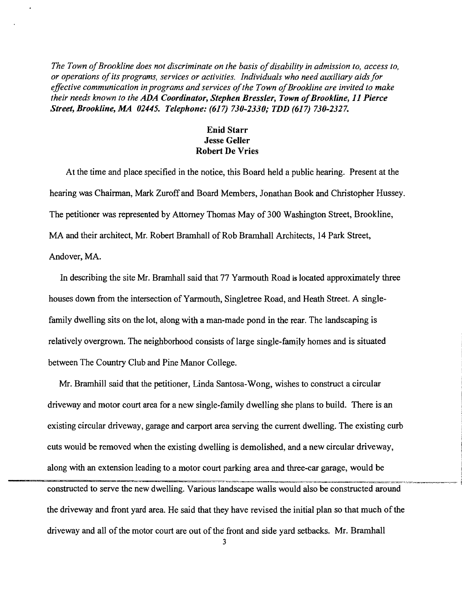The Town of Brookline does not discriminate on the basis of disability in admission to, access to, *or operations ofits programs, services or activities. Individuals who need auxiliary aids for*  effective communication in programs and services of the Town of Brookline are invited to make *their needs known to the ADA Coordinator, Stephen Bressler, Town of Brookline, 11 Pierce Street, Brookline, MA 02445. Telephone:* (617) *730-2330; TDD* (617) *730-2327.* 

## Enid Starr Jesse Geller Robert De Vries

At the time and place specified in the notice, this Board held a public hearing. Present at the hearing was Chairman, Mark Zuroff and Board Members, Jonathan Book and Christopher Hussey. The petitioner was represented by Attorney Thomas May of 300 Washington Street, Brookline, MA and their architect, Mr. Robert Bramhall of Rob Bramhall Architects, 14 Park Street, Andover, MA.

In describing the site Mr. Bramhall said that 77 Yarmouth Road is located approximately three houses down from the intersection of Yarmouth, Singletree Road, and Heath Street. A singlefamily dwelling sits on the lot, along with a man-made pond in the rear. The landscaping is relatively overgrown. The neighborhood consists of large single-family homes and is situated between The Country Club and Pine Manor College.

Mr. Bramhill said that the petitioner, Linda Santosa-Wong, wishes to construct a circular driveway and motor court area for a new single-family dwelling she plans to build. There is an existing circular driveway, garage and carport area serving the current dwelling. The existing curb cuts would be removed when the existing dwelling is demolished, and a new circular driveway, along with an extension leading to a motor court parking area and three-car garage, would be --~~~~~~~~~~~~~~--~--~-=---~--;~ ---\_.~ -,.\_--~~ ----'. constructed to serve the new dwelling. Various landscape walls would also be constructed around the driveway and front yard area. He said that they have revised the initial plan so that much of the driveway and all of the motor court are out of the front and side yard setbacks. Mr. Bramhall

3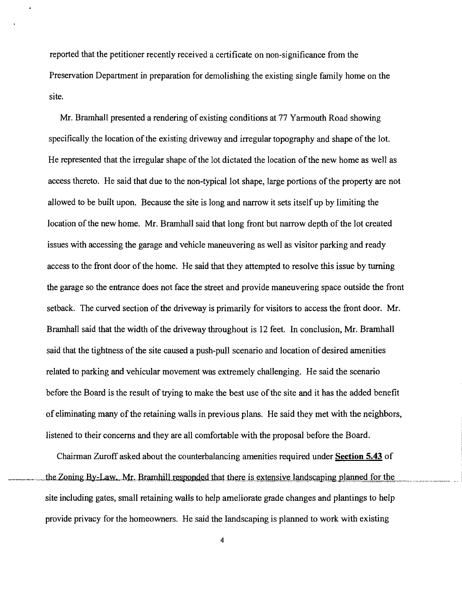reported that the petitioner recently received a certificate on non-significance from the Preservation Department in preparation for demolishing the existing single family home on the site.

Mr. Bramhall presented a rendering of existing conditions at 77 Yarmouth Road showing specifically the location of the existing driveway and irregular topography and shape of the lot. He represented that the irregular shape of the lot dictated the location of the new home as well as access thereto. He said that due to the non-typical lot shape, large portions of the property are not allowed to be built upon. Because the site is long and narrow it sets itself up by limiting the location of the new home. Mr. Bramhall said that long front but narrow depth of the lot created issues with accessing the garage and vehicle maneuvering as well as visitor parking and ready access to the front door of the home. He said that they attempted to resolve this issue by turning the garage so the entrance does not face the street and provide maneuvering space outside the front setback. The curved section of the driveway is primarily for visitors to access the front door. Mr. Bramhall said that the width of the driveway throughout is 12 feet. In conclusion, Mr. Bramhall said that the tightness of the site caused a push-pull scenario and location of desired amenities related to parking and vehicular movement was extremely challenging. He said the scenario before the Board is the result of trying to make the best use of the site and it has the added benefit of eliminating many of the retaining walls in previous plans. He said they met with the neighbors, listened to their concerns and they are all comfortable with the proposal before the Board.

Chairman Zuroff asked about the counterbalancing amenities required under **Section 5.43 of**  the Zoning By-Law. Mr. Bramhill responded that there is extensive landscaping planned for the site including gates, small retaining walls to help ameliorate grade changes and plantings to help provide privacy for the homeowners. He said the landscaping is planned to work with existing

4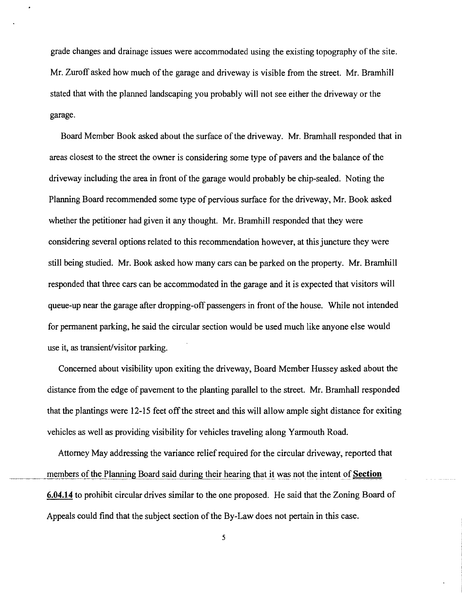grade changes and drainage issues were accommodated using the existing topography of the site. Mr. Zuroff asked how much of the garage and driveway is visible from the street. Mr. Bramhill stated that with the planned landscaping you probably will not see either the driveway or the garage.

Board Member Book asked about the surface of the driveway. Mr. Bramhall responded that in areas closest to the street the owner is considering some type of pavers and the balance of the driveway including the area in front of the garage would probably be chip-sealed. Noting the Planning Board recommended some type of pervious surface for the driveway, Mr. Book asked whether the petitioner had given it any thought. Mr. Bramhill responded that they were considering several options related to this recommendation however, at this juncture they were still being studied. Mr. Book asked how many cars can be parked on the property. Mr. Bramhill responded that three cars can be accommodated in the garage and it is expected that visitors will queue-up near the garage after dropping-off passengers in front of the house. While not intended for pennanent parking, he said the circular section would be used much like anyone else would use it, as transient/visitor parking.

Concerned about visibility upon exiting the driveway, Board Member Hussey asked about the distance from the edge of pavement to the planting parallel to the street. Mr. Bramhall responded that the plantings were 12-15 feet off the street and this will allow ample sight distance for exiting vehicles as well as providing visibility for vehicles traveling along Yarmouth Road.

Attorney May addressing the variance relief required for the circular driveway, reported that members of the Planning Board said during their hearing that it was not the intent of Section **6.04.14** to prohibit circular drives similar to the one proposed. He said that the Zoning Board of Appeals could find that the subject section of the By-Law does not pertain in this case.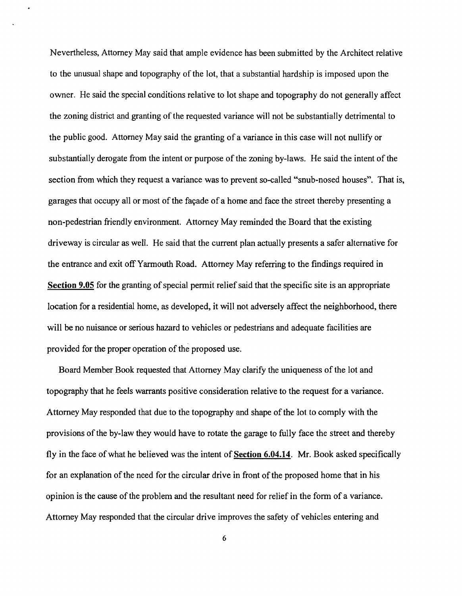Nevertheless, Attorney May said that ample evidence has been submitted by the Architect relative to the unusual shape and topography of the lot, that a substantial hardship is imposed upon the owner. He said the special conditions relative to lot shape and topography do not generally affect the zoning district and granting of the requested variance will not be substantially detrimental to the public good. Attorney May said the granting of a variance in this case will not nullify or substantially derogate from the intent or purpose of the zoning by-laws. He said the intent of the section from which they request a variance was to prevent so-called "snub-nosed houses". That is, garages that occupy all or most of the facade of a home and face the street thereby presenting a non-pedestrian friendly environment. Attorney May reminded the Board that the existing driveway is circular as well. He said that the current plan actually presents a safer alternative for the entrance and exit off Yarmouth Road. Attorney May referring to the findings required in Section 9.05 for the granting of special permit relief said that the specific site is an appropriate location for a residential home, as developed, it will not adversely affect the neighborhood, there will be no nuisance or serious hazard to vehicles or pedestrians and adequate facilities are provided for the proper operation of the proposed use.

Board Member Book requested that Attorney May clarify the uniqueness of the lot and topography that he feels warrants positive consideration relative to the request for a variance. Attorney May responded that due to the topography and shape of the lot to comply with the provisions of the by-law they would have to rotate the garage to fully face the street and thereby fly in the face of what he believed was the intent of Section 6.04.14. Mr. Book asked specifically for an explanation of the need for the circular drive in front of the proposed home that in his opinion is the cause ofthe problem and the resultant need for relief in the form of a variance. Attorney May responded that the circular drive improves the safety of vehicles entering and

6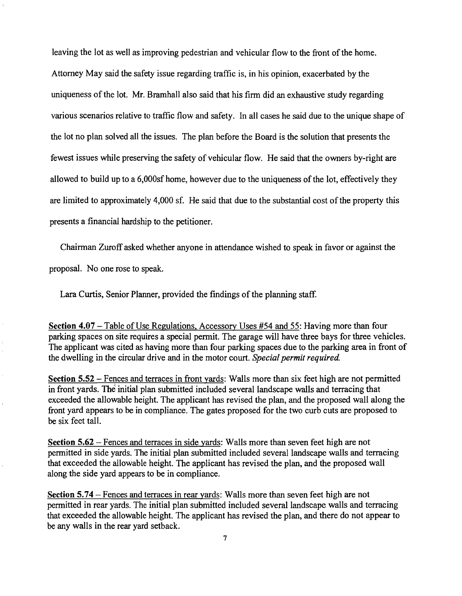leaving the lot as well as improving pedestrian and vehicular flow to the front of the home. Attorney May said the safety issue regarding traffic is, in his opinion, exacerbated by the uniqueness of the lot. Mr. Bramhall also said that his firm did an exhaustive study regarding various scenarios relative to traffic flow and safety. In all cases he said due to the unique shape of the lot no plan solved all the issues. The plan before the Board is the solution that presents the fewest issues while preserving the safety of vehicular flow. He said that the owners by-right are allowed to build up to a 6,000sf home, however due to the uniqueness of the lot, effectively they are limited to approximately 4,000 sf. He said that due to the substantial cost of the property this presents a financial hardship to the petitioner.

Chairman Zuroff asked whether anyone in attendance wished to speak in favor or against the proposal. No one rose to speak.

Lara Curtis, Senior Planner, provided the findings of the planning staff.

**Section 4.07** – Table of Use Regulations, Accessory Uses #54 and 55: Having more than four parking spaces on site requires a special permit. The garage will have three bays for three vehicles. The applicant was cited as having more than four parking spaces due to the parking area in front of the dwelling in the circular drive and in the motor court. *Special permit required.* 

**Section 5.52** - Fences and terraces in front yards: Walls more than six feet high are not permitted in front yards. The initial plan submitted included several landscape walls and terracing that exceeded the allowable height. The applicant has revised the plan, and the proposed wall along the front yard appears to be in compliance. The gates proposed for the two curb cuts are proposed to be six feet tall.

**Section 5.62** - Fences and terraces in side yards: Walls more than seven feet high are not permitted in side yards. The initial plan submitted included several landscape walls and terracing that exceeded the allowable height. The applicant has revised the plan, and the proposed wall along the side yard appears to be in compliance.

**Section 5.74** - Fences and terraces in rear yards: Walls more than seven feet high are not permitted in rear yards. The initial plan submitted included several landscape walls and terracing that exceeded the allowable height. The applicant has revised the plan, and there do not appear to be any walls in the rear yard setback.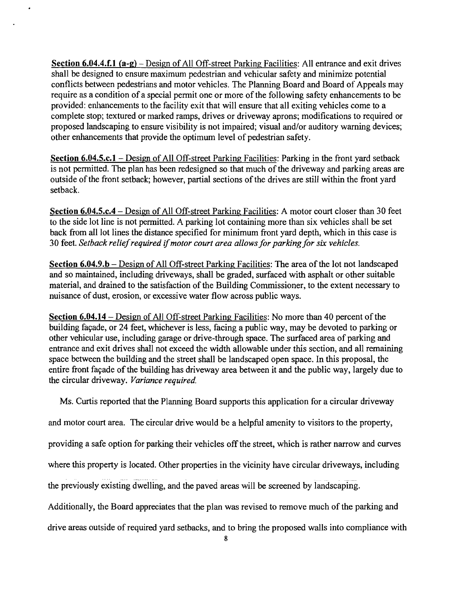Section 6.04.4.f.1 (a-g) – Design of All Off-street Parking Facilities: All entrance and exit drives shall be designed to ensure maximum pedestrian and vehicular safety and minimize potential conflicts between pedestrians and motor vehicles. The Planning Board and Board of Appeals may require as a condition of a special permit one or more of the following safety enhancements to be provided: enhancements to the facility exit that will ensure that all exiting vehicles come to a complete stop; textured or marked ramps, drives or driveway aprons; modifications to required or proposed landscaping to ensure visibility is not impaired; visual and/or auditory warning devices; other enhancements that provide the optimum level of pedestrian safety.

Section 6.04.5.c.1 – Design of All Off-street Parking Facilities: Parking in the front yard setback is not permitted. The plan has been redesigned so that much of the driveway and parking areas are outside of the front setback; however, partial sections of the drives are still within the front yard setback.

Section 6.04.5.c.4 - Design of All Off-street Parking Facilities: A motor court closer than 30 feet to the side lot line is not permitted. A parking lot containing more than six vehicles shall be set back from all lot lines the distance specified for minimum front yard depth, which in this case is 30 feet. *Setback reliefrequired ifmotor court area allows for parkingfor six vehicles.* 

Section 6.04.9.b - Design of All Off-street Parking Facilities: The area of the lot not landscaped and so maintained, including driveways, shall be graded, surfaced with asphalt or other suitable material, and drained to the satisfaction of the Building Commissioner, to the extent necessary to nuisance of dust, erosion, or excessive water flow across public ways.

Section 6.04.14 - Design of All Off-street Parking Facilities: No more than 40 percent of the building fayade, or 24 feet, whichever is less, facing a public way, may be devoted to parking or other vehicular use, including garage or drive-through space. The surfaced area of parking and entrance and exit drives shall not exceed the width allowable under this section, and all remaining space between the building and the street shall be landscaped open space. In this proposal, the entire front façade of the building has driveway area between it and the public way, largely due to the circular driveway. *Variance required.* 

Ms. Curtis reported that the Planning Board supports this application for a circular driveway

and motor court area. The circular drive would be a helpful amenity to visitors to the property,

providing a safe option for parking their vehicles off the street, which is rather narrow and curves

where this property is located. Other properties in the vicinity have circular driveways, including

the previously existing dwelling, and the paved areas will be screened by landscaping.

Additionally, the Board appreciates that the plan was revised to remove much of the parking and

drive areas outside of required yard setbacks, and to bring the proposed walls into compliance with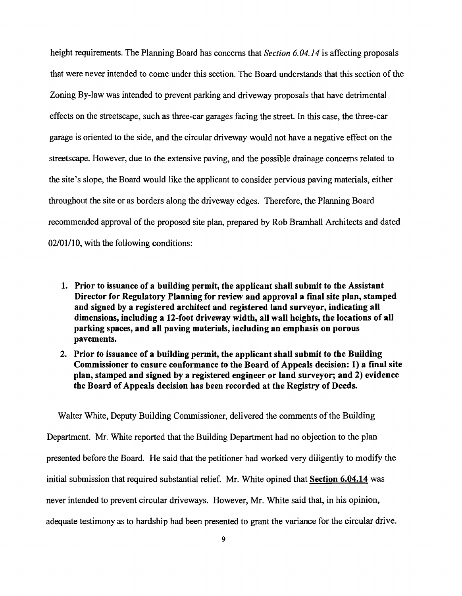height requirements. The Planning Board has concerns that *Section 6.04.14* is affecting proposals that were never intended to come under this section. The Board understands that this section of the Zoning By-law was intended to prevent parking and driveway proposals that have detrimental effects on the streetscape, such as three-car garages facing the street. In this case, the three-car garage is oriented to the side, and the circular driveway would not have a negative effect on the streetscape. However, due to the extensive paving, and the possible drainage concerns related to the site's slope, the Board would like the applicant to consider pervious paving materials, either throughout the site or as borders along the driveway edges. Therefore, the Planning Board recommended approval of the proposed site plan, prepared by Rob Bramhall Architects and dated 02/01/10, with the following conditions:

- 1. Prior to issuance of a building permit, the applicant shall submit to the Assistant Director for Regulatory Planning for review and approval a final site plan, stamped and signed by a registered architect and registered land surveyor, indicating all dimensions, including a 12-foot driveway width, all wall heights, the locations of all parking spaces, and all paving materials, including an emphasis on porous pavements.
- 2. Prior to issuance of a building permit, the applicant shall submit to the Building Commissioner to ensure conformance to the Board of Appeals decision: 1) a final site plan, stamped and signed by a registered engineer or land surveyor; and 2) evidence the Board of Appeals decision has been recorded at the Registry of Deeds.

Walter White, Deputy Building Commissioner, delivered the comments of the Building Department. Mr. White reported that the Building Department had no objection to the plan presented before the Board. He said that the petitioner had worked very diligently to modify the initial submission that required substantial relief. Mr. White opined that Section 6.04.14 was never intended to prevent circular driveways. However, Mr. White said that, in his opinion, adequate testimony as to hardship had been presented to grant the variance for the circular drive.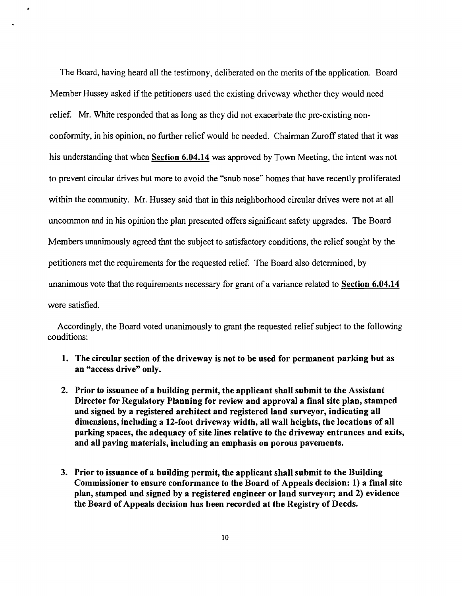The Board, having heard all the testimony, deliberated on the merits of the application. Board Member Hussey asked if the petitioners used the existing driveway whether they would need relief. Mr. White responded that as long as they did not exacerbate the pre-existing nonconformity, in his opinion, no further relief would be needed. Chairman Zuroff stated that it was his understanding that when Section 6.04.14 was approved by Town Meeting, the intent was not to prevent circular drives but more to avoid the "snub nose" homes that have recently proliferated within the community. Mr. Hussey said that in this neighborhood circular drives were not at all uncommon and in his opinion the plan presented offers significant safety upgrades. The Board Members unanimously agreed that the subject to satisfactory conditions, the relief sought by the petitioners met the requirements for the requested relief. The Board also determined, by unanimous vote that the requirements necessary for grant of a variance related to Section 6.04.14 were satisfied.

Accordingly, the Board voted unanimously to grant the requested relief subject to the following conditions:

- 1. The circular section of the driveway is not to be used for permanent parking but as an "access drive" only.
- 2. Prior to issuance of a building permit, the applicant shall submit to the Assistant Director for Regulatory Planning for review and approval a final site plan, stamped and signed by a registered architect and registered land surveyor, indicating all dimensions, including a 12-foot driveway width, all wall heights, the locations of all parking spaces, the adequacy of site lines relative to the driveway entrances and exits, and all paving materials, including an emphasis on porous pavements.
- 3. Prior to issuance of a building permit, the applicant shall submit to the Building Commissioner to ensure conformance to the Board of Appeals decision: 1) a final site plan, stamped and signed by a registered engineer or land surveyor; and 2) evidence the Board of Appeals decision has been recorded at the Registry of Deeds.